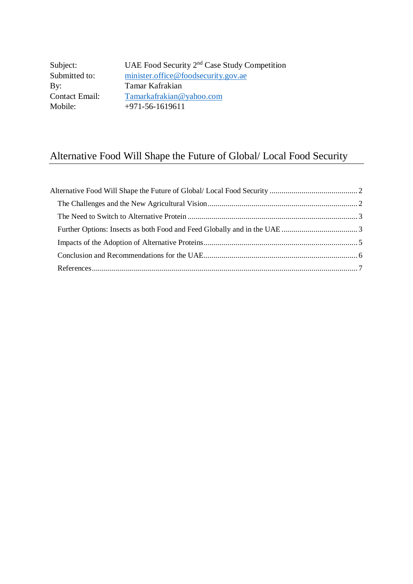Subject: UAE Food Security 2<sup>nd</sup> Case Study Competition<br>Submitted to: minister.office@foodsecurity.gov.ae [minister.office@foodsecurity.gov.ae](mailto:minister.office@foodsecurity.gov.ae) By: Tamar Kafrakian<br>Contact Email: Tamarkafrakian@ [Tamarkafrakian@yahoo.com](mailto:Tamarkafrakian@yahoo.com) Mobile: +971-56-1619611

# Alternative Food Will Shape the Future of Global/ Local Food Security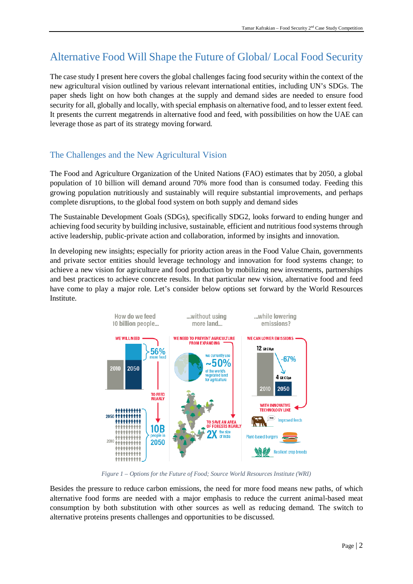# <span id="page-1-0"></span>Alternative Food Will Shape the Future of Global/ Local Food Security

The case study I present here covers the global challenges facing food security within the context of the new agricultural vision outlined by various relevant international entities, including UN's SDGs. The paper sheds light on how both changes at the supply and demand sides are needed to ensure food security for all, globally and locally, with special emphasis on alternative food, and to lesser extent feed. It presents the current megatrends in alternative food and feed, with possibilities on how the UAE can leverage those as part of its strategy moving forward.

# <span id="page-1-1"></span>The Challenges and the New Agricultural Vision

The Food and Agriculture Organization of the United Nations (FAO) estimates that by 2050, a global population of 10 billion will demand around 70% more food than is consumed today. Feeding this growing population nutritiously and sustainably will require substantial improvements, and perhaps complete disruptions, to the global food system on both supply and demand sides

The Sustainable Development Goals (SDGs), specifically SDG2, looks forward to ending hunger and achieving food security by building inclusive, sustainable, efficient and nutritious food systems through active leadership, public-private action and collaboration, informed by insights and innovation.

In developing new insights; especially for priority action areas in the Food Value Chain, governments and private sector entities should leverage technology and innovation for food systems change; to achieve a new vision for agriculture and food production by mobilizing new investments, partnerships and best practices to achieve concrete results. In that particular new vision, alternative food and feed have come to play a major role. Let's consider below options set forward by the World Resources Institute.



*Figure 1 – Options for the Future of Food; Source World Resources Institute (WRI)*

Besides the pressure to reduce carbon emissions, the need for more food means new paths, of which alternative food forms are needed with a major emphasis to reduce the current animal-based meat consumption by both substitution with other sources as well as reducing demand. The switch to alternative proteins presents challenges and opportunities to be discussed.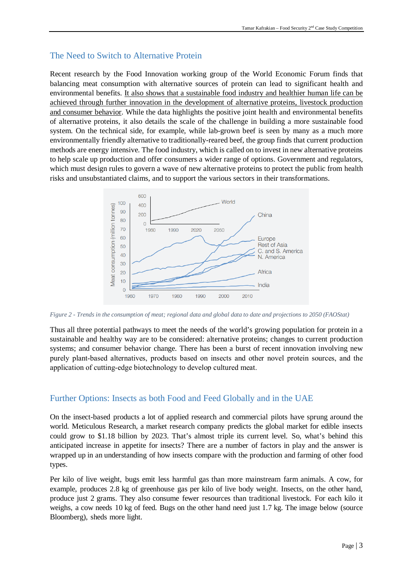### <span id="page-2-0"></span>The Need to Switch to Alternative Protein

Recent research by the Food Innovation working group of the World Economic Forum finds that balancing meat consumption with alternative sources of protein can lead to significant health and environmental benefits. It also shows that a sustainable food industry and healthier human life can be achieved through further innovation in the development of alternative proteins, livestock production and consumer behavior. While the data highlights the positive joint health and environmental benefits of alternative proteins, it also details the scale of the challenge in building a more sustainable food system. On the technical side, for example, while lab-grown beef is seen by many as a much more environmentally friendly alternative to traditionally-reared beef, the group finds that current production methods are energy intensive. The food industry, which is called on to invest in new alternative proteins to help scale up production and offer consumers a wider range of options. Government and regulators, which must design rules to govern a wave of new alternative proteins to protect the public from health risks and unsubstantiated claims, and to support the various sectors in their transformations.



*Figure 2 - Trends in the consumption of meat; regional data and global data to date and projections to 2050 (FAOStat)*

Thus all three potential pathways to meet the needs of the world's growing population for protein in a sustainable and healthy way are to be considered: alternative proteins; changes to current production systems; and consumer behavior change. There has been a burst of recent innovation involving new purely plant‑based alternatives, products based on insects and other novel protein sources, and the application of cutting-edge biotechnology to develop cultured meat.

### <span id="page-2-1"></span>Further Options: Insects as both Food and Feed Globally and in the UAE

On the insect-based products a lot of applied research and commercial pilots have sprung around the world. Meticulous Research, a market research company predicts the global market for edible insects could grow to \$1.18 billion by 2023. That's almost triple its current level. So, what's behind this anticipated increase in appetite for insects? There are a number of factors in play and the answer is wrapped up in an understanding of how insects compare with the production and farming of other food types.

Per kilo of live weight, bugs emit less harmful gas than more mainstream farm animals. A cow, for example, produces 2.8 kg of greenhouse gas per kilo of live body weight. Insects, on the other hand, produce just 2 grams. They also consume fewer resources than traditional livestock. For each kilo it weighs, a cow needs 10 kg of feed. Bugs on the other hand need just 1.7 kg. The image below (source Bloomberg), sheds more light.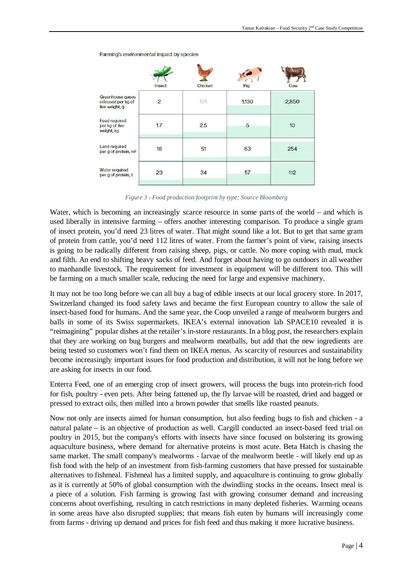|                                                          | Insect | Chicken   | Pig   | Cow   |
|----------------------------------------------------------|--------|-----------|-------|-------|
| Greenhouse gases<br>released per kg of<br>live weight, g | 2      | <b>NA</b> | 1,130 | 2,850 |
| Feed required<br>per kg of live<br>weight, kg            | 1.7    | 2.5       | 5     | 10    |
| Land required<br>per g of protein, m <sup>2</sup>        | 18     | 51        | 63    | 254   |
| Water required<br>per g of protein, li                   | 23     | 34        | 57    | 112   |

#### Farming's environmental impact by species

*Figure 3 - Food production footprint by type; Source Bloomberg*

Water, which is becoming an increasingly scarce resource in some parts of the world – and which is used liberally in intensive farming – offers another interesting comparison. To produce a single gram of insect protein, you'd need 23 litres of water. That might sound like a lot. But to get that same gram of protein from cattle, you'd need 112 litres of water. From the farmer's point of view, raising insects is going to be radically different from raising sheep, pigs, or cattle. No more coping with mud, muck and filth. An end to shifting heavy sacks of feed. And forget about having to go outdoors in all weather to manhandle livestock. The requirement for investment in equipment will be different too. This will be farming on a much smaller scale, reducing the need for large and expensive machinery.

It may not be too long before we can all buy a bag of edible insects at our local grocery store. In 2017, Switzerland changed its food safety laws and became the first European country to allow the sale of insect-based food for humans. And the same year, the Coop unveiled a range of mealworm burgers and balls in some of its Swiss supermarkets. IKEA's external innovation lab SPACE10 revealed it is "reimagining" popular dishes at the retailer's in-store restaurants. In a blog post, the researchers explain that they are working on bug burgers and mealworm meatballs, but add that the new ingredients are being tested so customers won't find them on IKEA menus. As scarcity of resources and sustainability become increasingly important issues for food production and distribution, it will not be long before we are asking for insects in our food.

Enterra Feed, one of an emerging crop of insect growers, will process the bugs into protein-rich food for fish, poultry - even pets. After being fattened up, the fly larvae will be roasted, dried and bagged or pressed to extract oils, then milled into a brown powder that smells like roasted peanuts.

Now not only are insects aimed for human consumption, but also feeding bugs to fish and chicken - a natural palate – is an objective of production as well. Cargill conducted an insect-based feed trial on poultry in 2015, but the company's efforts with insects have since focused on bolstering its growing aquaculture business, where demand for alternative proteins is most acute. Beta Hatch is chasing the same market. The small company's mealworms - larvae of the mealworm beetle - will likely end up as fish food with the help of an investment from fish-farming customers that have pressed for sustainable alternatives to fishmeal. Fishmeal has a limited supply, and aquaculture is continuing to grow globally as it is currently at 50% of global consumption with the dwindling stocks in the oceans. Insect meal is a piece of a solution. Fish farming is growing fast with growing consumer demand and increasing concerns about overfishing, resulting in catch restrictions in many depleted fisheries. Warming oceans in some areas have also disrupted supplies; that means fish eaten by humans will increasingly come from farms - driving up demand and prices for fish feed and thus making it more lucrative business.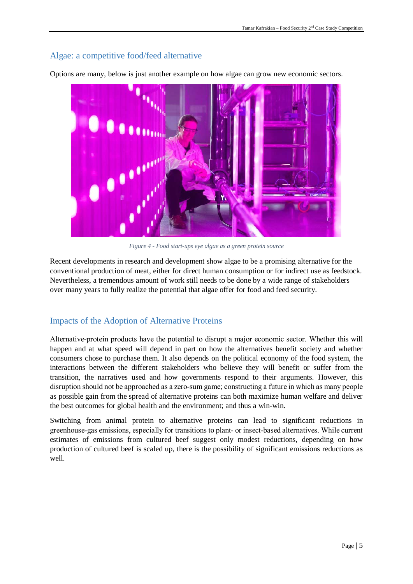## Algae: a competitive food/feed alternative



Options are many, below is just another example on how algae can grow new economic sectors.

*Figure 4 - Food start-ups eye algae as a green protein source*

Recent developments in research and development show algae to be a promising alternative for the conventional production of meat, either for direct human consumption or for indirect use as feedstock. Nevertheless, a tremendous amount of work still needs to be done by a wide range of stakeholders over many years to fully realize the potential that algae offer for food and feed security.

## <span id="page-4-0"></span>Impacts of the Adoption of Alternative Proteins

Alternative‑protein products have the potential to disrupt a major economic sector. Whether this will happen and at what speed will depend in part on how the alternatives benefit society and whether consumers chose to purchase them. It also depends on the political economy of the food system, the interactions between the different stakeholders who believe they will benefit or suffer from the transition, the narratives used and how governments respond to their arguments. However, this disruption should not be approached as a zero-sum game; constructing a future in which as many people as possible gain from the spread of alternative proteins can both maximize human welfare and deliver the best outcomes for global health and the environment; and thus a win-win.

<span id="page-4-1"></span>Switching from animal protein to alternative proteins can lead to significant reductions in greenhouse-gas emissions, especially for transitions to plant– or insect-based alternatives. While current estimates of emissions from cultured beef suggest only modest reductions, depending on how production of cultured beef is scaled up, there is the possibility of significant emissions reductions as well.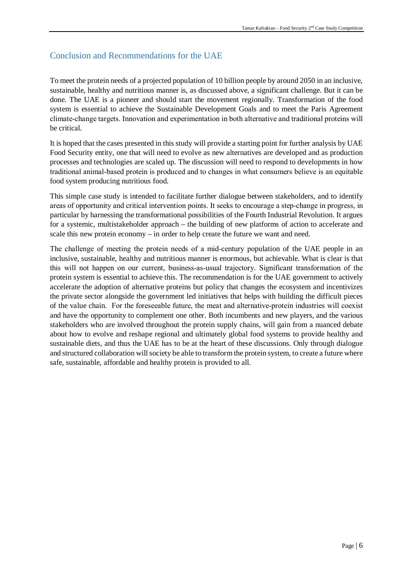# Conclusion and Recommendations for the UAE

To meet the protein needs of a projected population of 10 billion people by around 2050 in an inclusive, sustainable, healthy and nutritious manner is, as discussed above, a significant challenge. But it can be done. The UAE is a pioneer and should start the movement regionally. Transformation of the food system is essential to achieve the Sustainable Development Goals and to meet the Paris Agreement climate‑change targets. Innovation and experimentation in both alternative and traditional proteins will be critical.

It is hoped that the cases presented in this study will provide a starting point for further analysis by UAE Food Security entity, one that will need to evolve as new alternatives are developed and as production processes and technologies are scaled up. The discussion will need to respond to developments in how traditional animal-based protein is produced and to changes in what consumers believe is an equitable food system producing nutritious food.

This simple case study is intended to facilitate further dialogue between stakeholders, and to identify areas of opportunity and critical intervention points. It seeks to encourage a step-change in progress, in particular by harnessing the transformational possibilities of the Fourth Industrial Revolution. It argues for a systemic, multistakeholder approach – the building of new platforms of action to accelerate and scale this new protein economy – in order to help create the future we want and need.

The challenge of meeting the protein needs of a mid-century population of the UAE people in an inclusive, sustainable, healthy and nutritious manner is enormous, but achievable. What is clear is that this will not happen on our current, business‑as‑usual trajectory. Significant transformation of the protein system is essential to achieve this. The recommendation is for the UAE government to actively accelerate the adoption of alternative proteins but policy that changes the ecosystem and incentivizes the private sector alongside the government led initiatives that helps with building the difficult pieces of the value chain. For the foreseeable future, the meat and alternative-protein industries will coexist and have the opportunity to complement one other. Both incumbents and new players, and the various stakeholders who are involved throughout the protein supply chains, will gain from a nuanced debate about how to evolve and reshape regional and ultimately global food systems to provide healthy and sustainable diets, and thus the UAE has to be at the heart of these discussions. Only through dialogue and structured collaboration will society be able to transform the protein system, to create a future where safe, sustainable, affordable and healthy protein is provided to all.